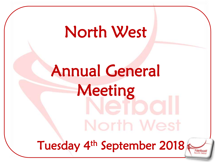## North West

# Annual General Meeting North West Tuesday 4th September 2018

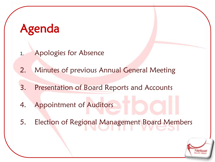## Agenda

- 1. Apologies for Absence
- 2. Minutes of previous Annual General Meeting
- 3. Presentation of Board Reports and Accounts
- 4. Appointment of Auditors
- 5. Election of Regional Management Board Members

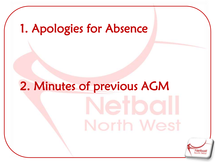## 1. Apologies for Absence

# 2. Minutes of previous AGM North West

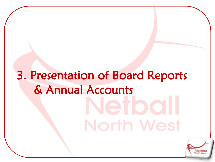## 3. Presentation of Board Reports & Annual AccountsNorth West

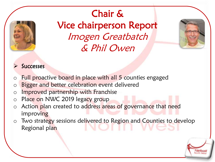

## Chair & Vice chairperson Report Imogen Greatbatch & Phil Owen



#### **Successes**

- o Full proactive board in place with all 5 counties engaged
- o Bigger and better celebration event delivered
- o Improved partnership with Franchise
- o Place on NWC 2019 legacy group
- o Action plan created to address areas of governance that need improving
- o Two strategy sessions delivered to Region and Counties to develop Regional plan

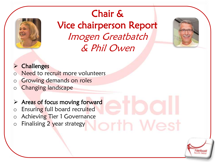

Chair & Vice chairperson Report Imogen Greatbatch & Phil Owen



#### $\triangleright$  Challenges

- Need to recruit more volunteers
- o Growing demands on roles
- o Changing landscape
- $\triangleright$  Areas of focus moving forward
- o Ensuring full board recruited
- o Achievin<mark>g T</mark>ier 1 Governance<br>o Finalising 2 year strategy
- o Finalising 2 year strategy



 $M_{\odot}$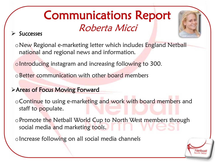## Communications Report Roberta Micci

#### $\triangleright$  Successes



oIntroducing instagram and increasing following to 300.

oBetter communication with other board members

#### Areas of Focus Moving Forward

o Continue to using e-marketing and work with board members and staff to populate.

oPromote the Netball World Cup to North West members through social media and marketing tools.

oIncrease following on all social media channels

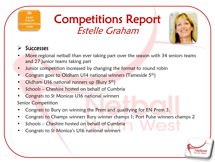## Competitions Report Estelle Graham



#### **Successes**

- More regional netball than ever taking part over the season with 34 seniors teams and 27 junior teams taking part
- Junior competition increased by changing the format to round robin
- Congrats goes to Oldham U14 national winners (Tameside 5th)
- Oldham U16 national runners up (Bury 5th)
- Schools Cheshire hosted on behalf of Cumbria
- Congrats to St Monicas U16 national winners

Senior Competition

- Congrats to Bury on winning the Prem and qualifying for EN Prem 3.
- Congrats to Champs winners Bury winner champs 1; Port Pulse winners champs 2
- Schools Cheshire hosted on behalf of Cumbria
- Congrats to St Monica's U16 national winners

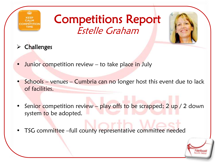

## Competitions Report Estelle Graham

- $\triangleright$  Challenges
- **Junior competition review to take place in July**
- Schools venues Cumbria can no longer host this event due to lack of facilities.
- Senior competition review play offs to be scrapped; 2 up / 2 down system to be adopted.
- TSG committee –full county representative committee needed

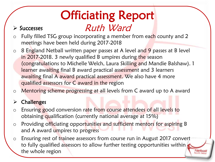## Officiating Report Ruth Ward

#### $\triangleright$  Successes

- o Fully filled TSG group incorporating a member from each county and 2 meetings have been held during 2017-2018
- $\circ$  8 England Netball written paper passes at A level and 9 passes at B level in 2017-2018. 3 newly qualified B umpires during the season (congratulations to Michelle Welch, Laura Skilling and Mandie Balshaw). 1 learner awaiting final B award practical assessment and 3 learners awaiting final A award practical assessment. We also have 4 more qualified assessors for C award in the region
- o Mentoring scheme progressing at all levels from C award up to A award

#### $\triangleright$  Challenges

- o Ensuring good conversion rate from course attendees of all levels to obtaining qualification (currently national average at 15%)
- o Providing officiating opportunities and sufficient mentors for aspiring B and A award umpires to progress
- o Ensuring rest of trainee assessors from course run in August 2017 convert to fully qualified assessors to allow further testing opportunities within the whole region

Netbal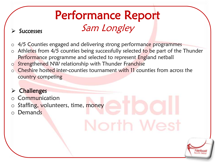## Performance Report Successes Sam Longley

- o 4/5 Counties engaged and delivering strong performance programmes
- o Athletes from 4/5 counties being successfully selected to be part of the Thunder Performance programme and selected to represent England netball

North We

Netba

- o Strengthened NW relationship with Thunder Franchise
- Cheshire hosted inter-counties tournament with 11 counties from across the country competing

#### **Challenges**

- **Communication**
- $\circ$  Staffing, volunteers, time, money
- Demands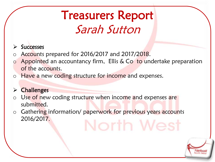## Treasurers Report Sarah Sutton

#### $\triangleright$  Successes

- o Accounts prepared for 2016/2017 and 2017/2018.
- $\circ$  Appointed an accountancy firm, Ellis & Co to undertake preparation of the accounts.
- o Have a new coding structure for income and expenses.

#### $\triangleright$  Challenges

- Use of new coding structure when income and expenses are submitted.
- o Gathering information/ paperwork for previous years accounts 2016/2017.North We

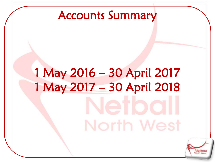## Accounts Summary

# 1 May 2016 – 30 April 2017 1 May 2017 – 30 April 2018North West

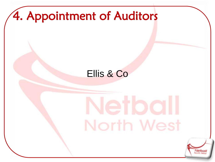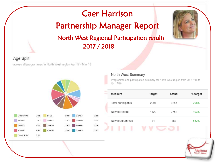## Caer Harrison Partnership Manager Report North West Regional Participation results 2017 / 2018



**Netbal** 

#### Age Split

across all programmes in North West region Apr 17 - Mar 18



#### North West Summary

Programme and participation summary for North West region from Q1 17/18 to Q4 17/18

| Measure            | Target | Actual | % target |
|--------------------|--------|--------|----------|
| Total participants | 2097   | 6255   | 298%     |
| New to Netball     | 1429   | 2752   | 193%     |
| New programmes     | 64     | 353    | 552%     |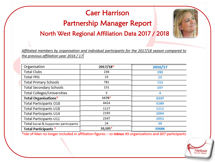#### Caer Harrison

### Partnership Manager Report

North West Regional Affiliation Data 2017 / 2018

Affiliated members by organisation and individual participants for the 2017/18 season compared to the previous affiliation year 2016 / 17

| Organisation                          | $2017/18*$ | 2016/17 |
|---------------------------------------|------------|---------|
| <b>Total Clubs</b>                    | 236        | 290     |
| <b>Total YPG</b>                      | 23         | 23      |
| <b>Total Primary Schools</b>          | 781        | 723     |
| Total Secondary Schools               | 131        | 197     |
| Total Colleges/Universities           | 5          | 4       |
| Total Organisations*                  | $1176*$    | 1237    |
| Total Participants O18                | 4424       | 5289    |
| Total Participants U18                | 1117       | 1212    |
| Total Participants U14                | 2193       | 2094    |
| Total Participants U11                | 2347       | 2052    |
| Total Social & Supporter participants | 24         | 39      |
| <b>Total Participants *</b>           | $10,105*$  | 10686   |

\*Isle of Man no longer included in affiliation figures - so minus 49 organisations and 607 participants

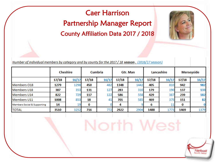### County Affiliation Data 2017 / 2018 Caer Harrison Partnership Manager Report

Number of individual members by category and by county for the 2017 / 18 season. (2016/17 season)

|                                        | <b>Cheshire</b> |       | <b>Cumbria</b> |       | Gtr. Man |       | Lancashire |       | <b>Merseyside</b> |       |
|----------------------------------------|-----------------|-------|----------------|-------|----------|-------|------------|-------|-------------------|-------|
|                                        | 17/18           | 16/17 | 17/18          | 16/17 | 17/18    | 16/17 | 17/18      | 16/17 | 17/18             | 16/17 |
| Members 018                            | 1279            | 1298  | 450            | 482   | 1348     | 1442  | 405        | 810   | 942               | 982   |
| <b>Members U18</b>                     | 387             | 353   | 131            | 127   | 283      | 310   | 179        | 190   | 137               | 133   |
| <b>Members U14</b>                     | 822             | 729   | 117            | 122   | 586      | 558   | 429        | 387   | 239               | 182   |
| Members U11                            | 1008            | 853   | 18             | 41    | 701      | 585   | 469        | 375   | 151               | 82    |
| <b>Members Social &amp; Supporting</b> | 14              | 19    | 0              |       | 4        |       | 6          |       | 0                 |       |
| <b>TOTAL</b>                           | 3510            | 3252  | 716            |       | 2922     | 2904  | 1488       | 1773  | 1469              | 1379  |

North We

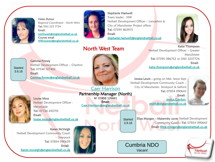

Helen Dulson Regional Coordinator - North West Tel: 0161 223 7724 Email: [northwest@englandnetball.co.uk](mailto:northwest@englandnetball.co.uk) Courses email [NWcourses@englandnetball.co.uk](mailto:NWcourses@englandnetball.co.uk)

Netball Development Officer – Cheshire

[Gemma.finney@englandnetball.co.uk](mailto:anneka.oconnor@englandnetball.co.uk)



Stephanie Hastwell Team leader - NW Netball Development Officer – Lancashire & City of Manchester Project officer Tel: 07595 863975 Email: [stephanie.hastwell@englandnetball.co.uk](mailto:stephanie.hastwell@englandnetball.co.uk)

North West Team

Katie Thompson Netball Development Officer – Greater **Manchester** Tel: 07595 086752 or 0161 2237724 Email: [katie.thompson@englandnetball.co.uk](mailto:katie.thompson@englandnetball.co.uk)

Tel: 07854 090643

[smith@englandnetball.co.uk](mailto:jessica.gordonsmith@englandnetball.co.uk)

jessica.Gordon-

Email:

Jessica Lewis - going on Mat. leave Sept Netball Development Community Coach – City of Manchester, Stockport & Salford



**Started** 3.9.18

> Louise Moss Netball Development Officer - **Merseyside** Tel: 07726 692701 Email: [louise.moss@englandnetball.co.uk](mailto:louise.moss@englandnetball.co.uk)

Partnership Manager (North) M: 07458 126661 Email: [Caer.Harrison@englandnetball.co.uk](mailto:Caer.Harrison@englandnetball.co.uk)

[Caer Harrison](mailto:Caer.Harrison@englandnetball.co.uk)

**Started** 3.9.18

Eliza Morgan – Maternity cover Netball Development Community Coach –Tel: 07854 090643 Email: [Eliza.morgan@englandnetball.co.uk](mailto:Eliza.morgan@englandnetball.co.uk)





Netbal North West

Karen McVeigh Netball Development Community Coach – Liverpool Tel: 07854 090639 Email: [Karen.mcveigh@englandnetball.co.uk](mailto:rebecca.smith@englandnetball.co.uk)

Gemma Finney

Email:

Tel: 07540 127402

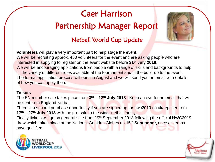## Caer Harrison

### Partnership Manager Report

#### Netball World Cup Update



**Volunteers** will play a very important part to help stage the event. We will be recruiting approx. 450 volunteers for the event and are asking people who are interested in applying to register on the event website before **31st July 2018**. We will be encouraging applications from people with a range of skills and backgrounds to help fill the variety of different roles available at the tournament and in the build-up to the event. The formal application process will open in August and we will send you an email with details of how you can apply then.

#### **Tickets**

The EN member sale takes place from **3 rd – 12th July 2018**. Keep an eye for an email that will be sent from England Netball.

There is a second purchase opportunity if you are signed up for nwc2019.co.uk/register from **17th – 27th July 2018** with the pre-sale to the wider netball family.

Finally tickets will go on general sale from 19<sup>th</sup> September 2018 following the official NWC2019 draw which takes place at the National Goalden Globes on **15th September,** once all teams have qualified.



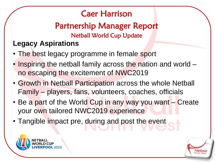## Caer Harrison

Netball World Cup Update Partnership Manager Report

### **Legacy Aspirations**

- The best legacy programme in female sport
- Inspiring the netball family across the nation and world no escaping the excitement of NWC2019
- Growth in Netball Participation across the whole Netball Family – players, fans, volunteers, coaches, officials
- Be a part of the World Cup in any way you want Create your own tailored NWC2019 experience
- Tangible impact pre, during and post the event



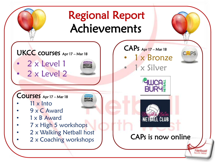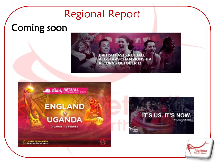## Regional Report

## Coming soon









TICKETS ON SALE NOW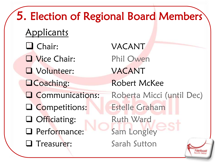5. Election of Regional Board Members **Applicants O** Chair: VACANT Vice Chair: Phil Owen Volunteer: VACANT **OCoaching:** Robert McKee **Q Communications:** Roberta Micci (until Dec) Competitions: Estelle Graham □ Officiating: Ruth Ward **Q** Performance: Sam Longley Treasurer: Sarah SuttonNetbal